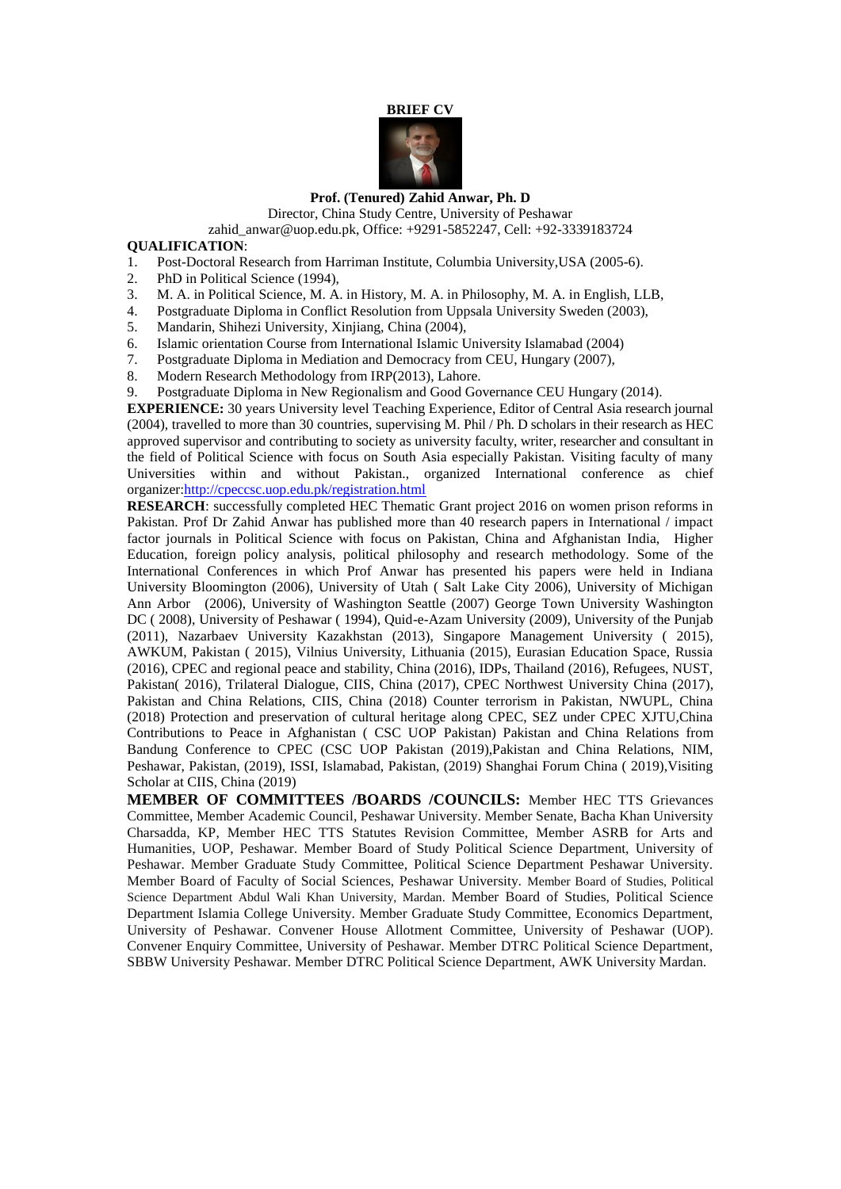## **BRIEF CV**



#### **Prof. (Tenured) Zahid Anwar, Ph. D**

Director, China Study Centre, University of Peshawar

zahid\_anwar@uop.edu.pk, Office: +9291-5852247, Cell: +92-3339183724

### **QUALIFICATION**:

- 1. Post-Doctoral Research from Harriman Institute, Columbia University,USA (2005-6).
- 2. PhD in Political Science (1994),
- 3. M. A. in Political Science, M. A. in History, M. A. in Philosophy, M. A. in English, LLB,
- 4. Postgraduate Diploma in Conflict Resolution from Uppsala University Sweden (2003),
- 5. Mandarin, Shihezi University, Xinjiang, China (2004),
- 6. Islamic orientation Course from International Islamic University Islamabad (2004)
- 7. Postgraduate Diploma in Mediation and Democracy from CEU, Hungary (2007),
- 8. Modern Research Methodology from IRP(2013), Lahore.
- 9. Postgraduate Diploma in New Regionalism and Good Governance CEU Hungary (2014).

**EXPERIENCE:** 30 years University level Teaching Experience, Editor of Central Asia research journal (2004), travelled to more than 30 countries, supervising M. Phil / Ph. D scholars in their research as HEC approved supervisor and contributing to society as university faculty, writer, researcher and consultant in the field of Political Science with focus on South Asia especially Pakistan. Visiting faculty of many Universities within and without Pakistan., organized International conference as chief organizer[:http://cpeccsc.uop.edu.pk/registration.html](http://cpeccsc.uop.edu.pk/registration.html)

**RESEARCH**: successfully completed HEC Thematic Grant project 2016 on women prison reforms in Pakistan. Prof Dr Zahid Anwar has published more than 40 research papers in International / impact factor journals in Political Science with focus on Pakistan, China and Afghanistan India, Higher Education, foreign policy analysis, political philosophy and research methodology. Some of the International Conferences in which Prof Anwar has presented his papers were held in Indiana University Bloomington (2006), University of Utah ( Salt Lake City 2006), University of Michigan Ann Arbor (2006), University of Washington Seattle (2007) George Town University Washington DC ( 2008), University of Peshawar ( 1994), Quid-e-Azam University (2009), University of the Punjab (2011), Nazarbaev University Kazakhstan (2013), Singapore Management University ( 2015), AWKUM, Pakistan ( 2015), Vilnius University, Lithuania (2015), Eurasian Education Space, Russia (2016), CPEC and regional peace and stability, China (2016), IDPs, Thailand (2016), Refugees, NUST, Pakistan( 2016), Trilateral Dialogue, CIIS, China (2017), CPEC Northwest University China (2017), Pakistan and China Relations, CIIS, China (2018) Counter terrorism in Pakistan, NWUPL, China (2018) Protection and preservation of cultural heritage along CPEC, SEZ under CPEC XJTU,China Contributions to Peace in Afghanistan ( CSC UOP Pakistan) Pakistan and China Relations from Bandung Conference to CPEC (CSC UOP Pakistan (2019),Pakistan and China Relations, NIM, Peshawar, Pakistan, (2019), ISSI, Islamabad, Pakistan, (2019) Shanghai Forum China ( 2019),Visiting Scholar at CIIS, China (2019)

**MEMBER OF COMMITTEES /BOARDS /COUNCILS:** Member HEC TTS Grievances Committee, Member Academic Council, Peshawar University. Member Senate, Bacha Khan University Charsadda, KP, Member HEC TTS Statutes Revision Committee, Member ASRB for Arts and Humanities, UOP, Peshawar. Member Board of Study Political Science Department, University of Peshawar. Member Graduate Study Committee, Political Science Department Peshawar University. Member Board of Faculty of Social Sciences, Peshawar University. Member Board of Studies, Political Science Department Abdul Wali Khan University, Mardan. Member Board of Studies, Political Science Department Islamia College University. Member Graduate Study Committee, Economics Department, University of Peshawar. Convener House Allotment Committee, University of Peshawar (UOP). Convener Enquiry Committee, University of Peshawar. Member DTRC Political Science Department, SBBW University Peshawar. Member DTRC Political Science Department, AWK University Mardan.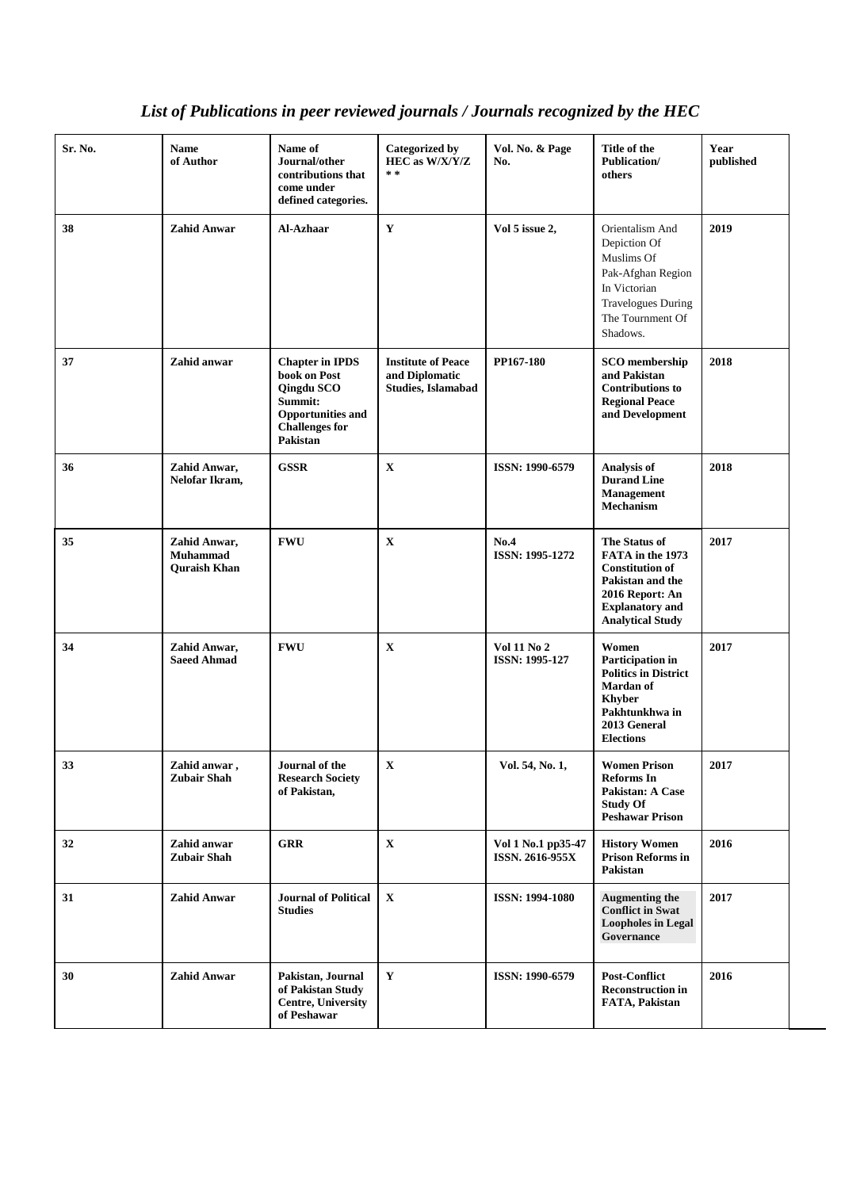#### **Sr. No. Name of Author Name of Journal/other contributions that come under defined categories. Categorized by HEC as W/X/Y/Z \* \* Vol. No. & Page No. Title of the Publication/ others Year published 28 Zahid Anwar Al-Azhaar Y Vol 5 issue 2,** Orientalism And [Depiction Of](http://al-azhaar.org/Archive/2019/July-December/16.pdf)  [Muslims Of](http://al-azhaar.org/Archive/2019/July-December/16.pdf)  [Pak-Afghan Region](http://al-azhaar.org/Archive/2019/July-December/16.pdf)  [In Victorian](http://al-azhaar.org/Archive/2019/July-December/16.pdf)  [Travelogues During](http://al-azhaar.org/Archive/2019/July-December/16.pdf)  [The Tournment Of](http://al-azhaar.org/Archive/2019/July-December/16.pdf)  [Shadows.](http://al-azhaar.org/Archive/2019/July-December/16.pdf) **2019 37 Zahid anwar Chapter in IPDS book on Post Qingdu SCO Summit: Opportunities and Challenges for Pakistan Institute of Peace and Diplomatic Studies, Islamabad PP167-180 SCO membership and Pakistan Contributions to Regional Peace and Development 2018 36 Zahid Anwar, Nelofar Ikram, GSSR X ISSN: 1990-6579 [Analysis of](http://www.pscpesh.org/PDFs/PJ/Volume_54/14-%20ANALYSIS%20OF%20DURAND%20LINE%20MANAGEMENT%20MECHANISM.pdf)  [Durand Line](http://www.pscpesh.org/PDFs/PJ/Volume_54/14-%20ANALYSIS%20OF%20DURAND%20LINE%20MANAGEMENT%20MECHANISM.pdf)  [Management](http://www.pscpesh.org/PDFs/PJ/Volume_54/14-%20ANALYSIS%20OF%20DURAND%20LINE%20MANAGEMENT%20MECHANISM.pdf)  [Mechanism](http://www.pscpesh.org/PDFs/PJ/Volume_54/14-%20ANALYSIS%20OF%20DURAND%20LINE%20MANAGEMENT%20MECHANISM.pdf) 2018 35 Zahid Anwar, Muhammad Quraish Khan FWU X No.4 ISSN: 1995-1272 The Status of FATA in the 1973 Constitution of Pakistan and the 2016 Report: An Explanatory and Analytical Study 2017 34 Zahid Anwar, Saeed Ahmad FWU X Vol 11 No 2 ISSN: 1995-127 Women Participation in Politics in District Mardan of Khyber Pakhtunkhwa in 2013 General Elections 2017 33 Zahid anwar , Zubair Shah Journal of the Research Society of Pakistan, X Vol. 54, No. 1, Women Prison Reforms In Pakistan: A Case Study Of Peshawar Prison 2017 32 Zahid anwar Zubair Shah GRR X Vol 1 No.1 pp35-47 ISSN. 2616-955X History Women Prison Reforms in Pakistan 2016 31 Zahid Anwar Journal of Political Studies X ISSN: 1994-1080 Augmenting the Conflict in Swat Loopholes in Legal Governance 2017 30 Zahid Anwar Pakistan, Journal of Pakistan Study Centre, University of Peshawar Y ISSN: 1990-6579 Post-Conflict Reconstruction in FATA, Pakistan 2016**

# *List of Publications in peer reviewed journals / Journals recognized by the HEC*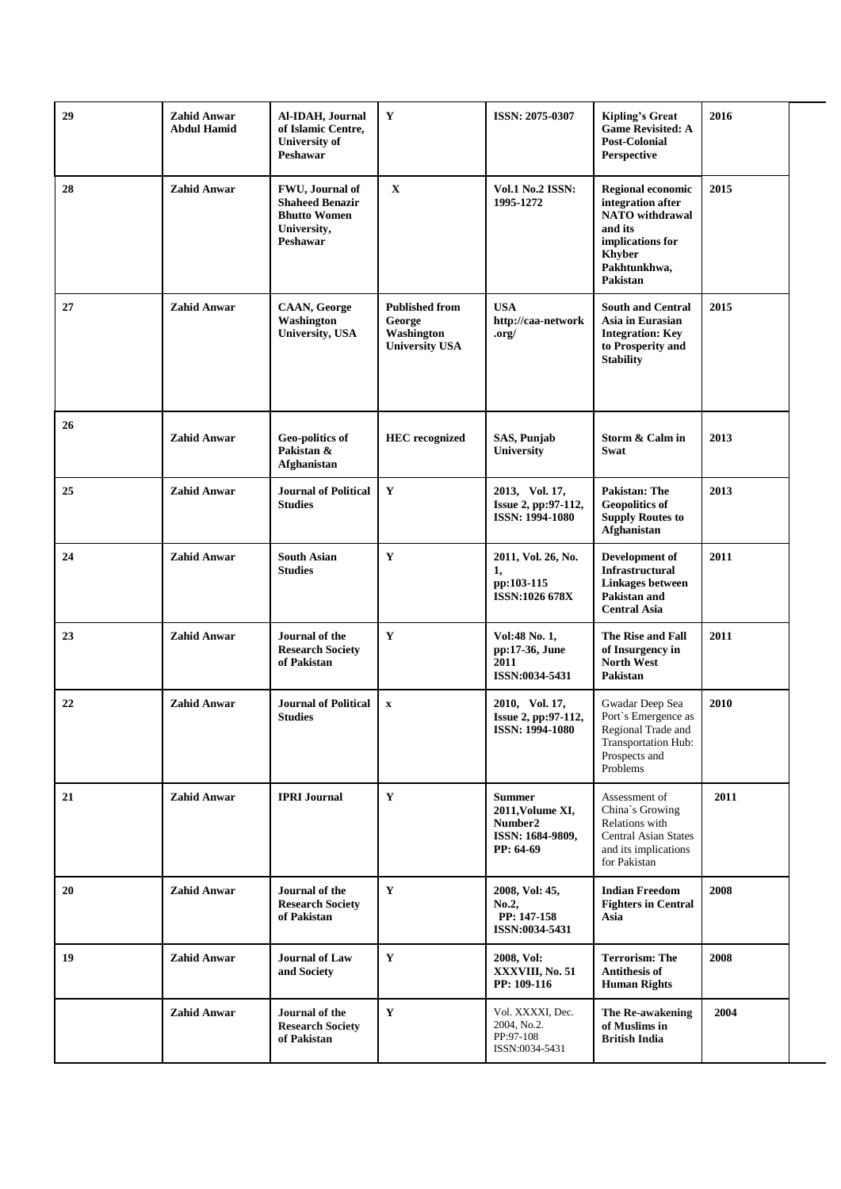| 29 | <b>Zahid Anwar</b><br><b>Abdul Hamid</b> | Al-IDAH, Journal<br>of Islamic Centre,<br><b>University of</b><br>Peshawar                  | $\mathbf Y$                                                            | ISSN: 2075-0307                                                               | <b>Kipling's Great</b><br><b>Game Revisited: A</b><br><b>Post-Colonial</b><br>Perspective                                                           | 2016 |
|----|------------------------------------------|---------------------------------------------------------------------------------------------|------------------------------------------------------------------------|-------------------------------------------------------------------------------|-----------------------------------------------------------------------------------------------------------------------------------------------------|------|
| 28 | <b>Zahid Anwar</b>                       | FWU, Journal of<br><b>Shaheed Benazir</b><br><b>Bhutto Women</b><br>University,<br>Peshawar | $\mathbf X$                                                            | <b>Vol.1 No.2 ISSN:</b><br>1995-1272                                          | <b>Regional economic</b><br>integration after<br><b>NATO</b> withdrawal<br>and its<br>implications for<br><b>Khyber</b><br>Pakhtunkhwa,<br>Pakistan | 2015 |
| 27 | <b>Zahid Anwar</b>                       | <b>CAAN, George</b><br>Washington<br>University, USA                                        | <b>Published from</b><br>George<br>Washington<br><b>University USA</b> | <b>USA</b><br>http://caa-network<br>$.$ org $/$                               | <b>South and Central</b><br>Asia in Eurasian<br><b>Integration: Key</b><br>to Prosperity and<br><b>Stability</b>                                    | 2015 |
| 26 | <b>Zahid Anwar</b>                       | Geo-politics of<br>Pakistan &<br>Afghanistan                                                | <b>HEC</b> recognized                                                  | SAS, Punjab<br>University                                                     | Storm & Calm in<br>Swat                                                                                                                             | 2013 |
| 25 | <b>Zahid Anwar</b>                       | <b>Journal of Political</b><br><b>Studies</b>                                               | Y                                                                      | 2013, Vol. 17,<br>Issue 2, pp:97-112,<br>ISSN: 1994-1080                      | <b>Pakistan: The</b><br><b>Geopolitics of</b><br><b>Supply Routes to</b><br>Afghanistan                                                             | 2013 |
| 24 | <b>Zahid Anwar</b>                       | <b>South Asian</b><br><b>Studies</b>                                                        | Y                                                                      | 2011, Vol. 26, No.<br>1,<br>pp:103-115<br>ISSN:1026 678X                      | Development of<br>Infrastructural<br><b>Linkages between</b><br>Pakistan and<br><b>Central Asia</b>                                                 | 2011 |
| 23 | <b>Zahid Anwar</b>                       | Journal of the<br><b>Research Society</b><br>of Pakistan                                    | Y                                                                      | Vol:48 No. 1,<br>pp:17-36, June<br>2011<br>ISSN:0034-5431                     | The Rise and Fall<br>of Insurgency in<br><b>North West</b><br>Pakistan                                                                              | 2011 |
| 22 | <b>Zahid Anwar</b>                       | <b>Journal of Political</b><br><b>Studies</b>                                               | $\mathbf X$                                                            | 2010, Vol. 17,<br>Issue 2, pp:97-112,<br>ISSN: 1994-1080                      | Gwadar Deep Sea<br>Port's Emergence as<br>Regional Trade and<br>Transportation Hub:<br>Prospects and<br>Problems                                    | 2010 |
| 21 | <b>Zahid Anwar</b>                       | <b>IPRI Journal</b>                                                                         | Y                                                                      | <b>Summer</b><br>2011, Volume XI,<br>Number2<br>ISSN: 1684-9809,<br>PP: 64-69 | Assessment of<br>China's Growing<br>Relations with<br><b>Central Asian States</b><br>and its implications<br>for Pakistan                           | 2011 |
| 20 | <b>Zahid Anwar</b>                       | Journal of the<br><b>Research Society</b><br>of Pakistan                                    | Y                                                                      | 2008, Vol: 45,<br>No.2,<br>PP: 147-158<br>ISSN:0034-5431                      | <b>Indian Freedom</b><br><b>Fighters in Central</b><br>Asia                                                                                         | 2008 |
| 19 | <b>Zahid Anwar</b>                       | <b>Journal of Law</b><br>and Society                                                        | Y                                                                      | 2008, Vol:<br>XXXVIII, No. 51<br>PP: 109-116                                  | <b>Terrorism: The</b><br><b>Antithesis of</b><br><b>Human Rights</b>                                                                                | 2008 |
|    | <b>Zahid Anwar</b>                       | Journal of the<br><b>Research Society</b><br>of Pakistan                                    | Y                                                                      | Vol. XXXXI, Dec.<br>2004, No.2.<br>PP:97-108<br>ISSN:0034-5431                | The Re-awakening<br>of Muslims in<br><b>British India</b>                                                                                           | 2004 |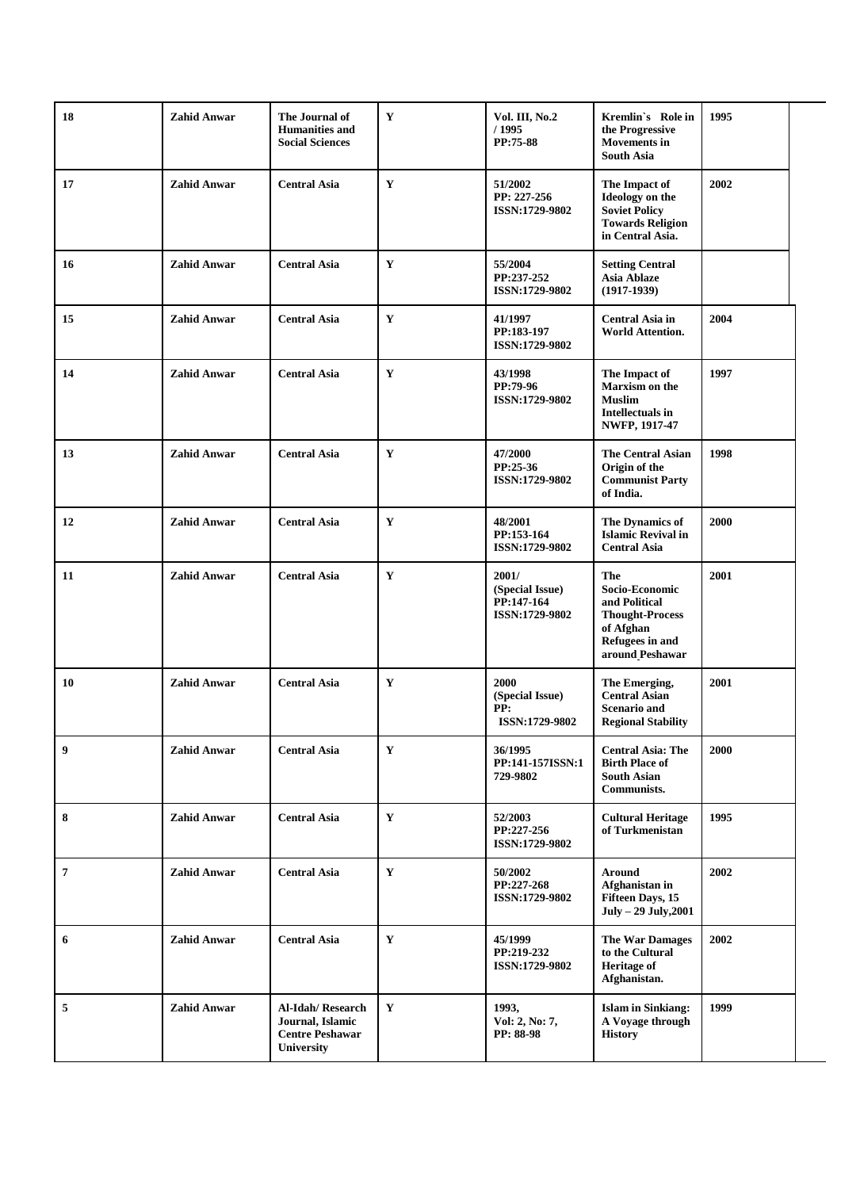| 18 | <b>Zahid Anwar</b> | The Journal of<br><b>Humanities and</b><br><b>Social Sciences</b>            | $\mathbf{Y}$ | Vol. III, No.2<br>/ 1995<br>PP:75-88                     | Kremlin's Role in<br>the Progressive<br><b>Movements</b> in<br><b>South Asia</b>                                    | 1995 |
|----|--------------------|------------------------------------------------------------------------------|--------------|----------------------------------------------------------|---------------------------------------------------------------------------------------------------------------------|------|
| 17 | <b>Zahid Anwar</b> | <b>Central Asia</b>                                                          | Y            | 51/2002<br>PP: 227-256<br>ISSN:1729-9802                 | The Impact of<br>Ideology on the<br><b>Soviet Policy</b><br><b>Towards Religion</b><br>in Central Asia.             | 2002 |
| 16 | <b>Zahid Anwar</b> | <b>Central Asia</b>                                                          | Y            | 55/2004<br>PP:237-252<br><b>ISSN:1729-9802</b>           | <b>Setting Central</b><br><b>Asia Ablaze</b><br>$(1917-1939)$                                                       |      |
| 15 | <b>Zahid Anwar</b> | <b>Central Asia</b>                                                          | Y            | 41/1997<br>PP:183-197<br>ISSN:1729-9802                  | Central Asia in<br>World Attention.                                                                                 | 2004 |
| 14 | <b>Zahid Anwar</b> | <b>Central Asia</b>                                                          | $\mathbf{Y}$ | 43/1998<br>PP:79-96<br>ISSN:1729-9802                    | The Impact of<br>Marxism on the<br><b>Muslim</b><br>Intellectuals in<br>NWFP, 1917-47                               | 1997 |
| 13 | <b>Zahid Anwar</b> | <b>Central Asia</b>                                                          | $\mathbf Y$  | 47/2000<br>PP:25-36<br>ISSN:1729-9802                    | <b>The Central Asian</b><br>Origin of the<br><b>Communist Party</b><br>of India.                                    | 1998 |
| 12 | <b>Zahid Anwar</b> | <b>Central Asia</b>                                                          | $\mathbf Y$  | 48/2001<br>PP:153-164<br>ISSN:1729-9802                  | The Dynamics of<br><b>Islamic Revival in</b><br><b>Central Asia</b>                                                 | 2000 |
| 11 | <b>Zahid Anwar</b> | <b>Central Asia</b>                                                          | $\mathbf Y$  | 2001/<br>(Special Issue)<br>PP:147-164<br>ISSN:1729-9802 | The<br>Socio-Economic<br>and Political<br><b>Thought-Process</b><br>of Afghan<br>Refugees in and<br>around Peshawar | 2001 |
| 10 | <b>Zahid Anwar</b> | <b>Central Asia</b>                                                          | $\mathbf Y$  | 2000<br>(Special Issue)<br>PP:<br>ISSN:1729-9802         | The Emerging,<br><b>Central Asian</b><br><b>Scenario and</b><br><b>Regional Stability</b>                           | 2001 |
| 9  | <b>Zahid Anwar</b> | <b>Central Asia</b>                                                          | $\mathbf Y$  | 36/1995<br>PP:141-157ISSN:1<br>729-9802                  | <b>Central Asia: The</b><br><b>Birth Place of</b><br><b>South Asian</b><br>Communists.                              | 2000 |
| 8  | <b>Zahid Anwar</b> | <b>Central Asia</b>                                                          | $\mathbf Y$  | 52/2003<br>PP:227-256<br>ISSN:1729-9802                  | <b>Cultural Heritage</b><br>of Turkmenistan                                                                         | 1995 |
| 7  | <b>Zahid Anwar</b> | <b>Central Asia</b>                                                          | $\mathbf Y$  | 50/2002<br>PP:227-268<br>ISSN:1729-9802                  | <b>Around</b><br>Afghanistan in<br>Fifteen Days, 15<br>$July - 29 July, 2001$                                       | 2002 |
| 6  | <b>Zahid Anwar</b> | <b>Central Asia</b>                                                          | $\mathbf Y$  | 45/1999<br>PP:219-232<br>ISSN:1729-9802                  | <b>The War Damages</b><br>to the Cultural<br><b>Heritage of</b><br>Afghanistan.                                     | 2002 |
| 5  | <b>Zahid Anwar</b> | Al-Idah/Research<br>Journal, Islamic<br><b>Centre Peshawar</b><br>University | $\mathbf Y$  | 1993,<br>Vol: 2, No: 7,<br>PP: 88-98                     | <b>Islam</b> in Sinkiang:<br>A Voyage through<br><b>History</b>                                                     | 1999 |